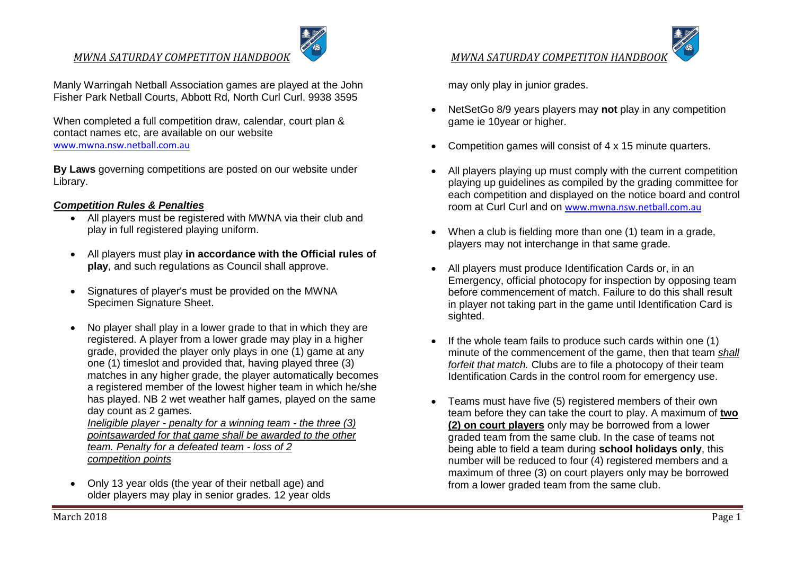Manly Warringah Netball Association games are played at the John Fisher Park Netball Courts, Abbott Rd, North Curl Curl. 9938 3595

When completed a full competition draw, calendar, court plan & contact names etc, are available on our website [www.mwna.nsw.netball.com.au](http://www.mwna.nsw.netball.com.au/)

**By Laws** governing competitions are posted on our website under Library.

#### *Competition Rules & Penalties*

- All players must be registered with MWNA via their club and play in full registered playing uniform.
- All players must play **in accordance with the Official rules of play**, and such regulations as Council shall approve.
- Signatures of player's must be provided on the MWNA Specimen Signature Sheet.
- No player shall play in a lower grade to that in which they are registered. A player from a lower grade may play in a higher grade, provided the player only plays in one (1) game at any one (1) timeslot and provided that, having played three (3) matches in any higher grade, the player automatically becomes a registered member of the lowest higher team in which he/she has played. NB 2 wet weather half games, played on the same day count as 2 games.

*Ineligible player - penalty for a winning team - the three (3) pointsawarded for that game shall be awarded to the other team. Penalty for a defeated team - loss of 2 competition points*

 Only 13 year olds (the year of their netball age) and older players may play in senior grades. 12 year olds may only play in junior grades.

- NetSetGo 8/9 years players may **not** play in any competition game ie 10year or higher.
- Competition games will consist of 4 x 15 minute quarters.
- All players playing up must comply with the current competition playing up guidelines as compiled by the grading committee for each competition and displayed on the notice board and control room at Curl Curl and on [www.mwna.nsw.netball.com.au](http://mwna.nsw.netball.com.au/)
- When a club is fielding more than one (1) team in a grade, players may not interchange in that same grade.
- All players must produce Identification Cards or, in an Emergency, official photocopy for inspection by opposing team before commencement of match. Failure to do this shall result in player not taking part in the game until Identification Card is sighted.
- If the whole team fails to produce such cards within one (1) minute of the commencement of the game, then that team *shall forfeit that match.* Clubs are to file a photocopy of their team Identification Cards in the control room for emergency use.
- Teams must have five (5) registered members of their own team before they can take the court to play. A maximum of **two (2) on court players** only may be borrowed from a lower graded team from the same club. In the case of teams not being able to field a team during **school holidays only**, this number will be reduced to four (4) registered members and a maximum of three (3) on court players only may be borrowed from a lower graded team from the same club.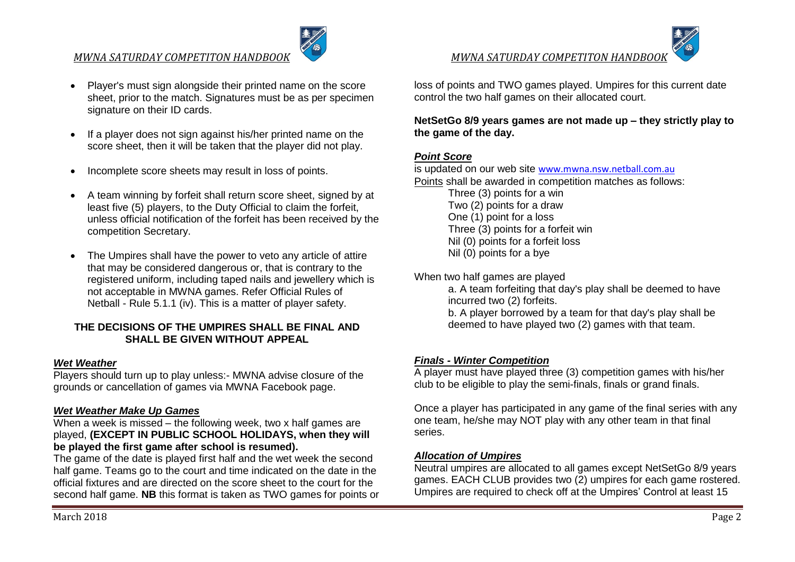## *MWNA SATURDAY COMPETITON HANDBOOK MWNA SATURDAY COMPETITON HANDBOOK*



- Player's must sign alongside their printed name on the score sheet, prior to the match. Signatures must be as per specimen signature on their ID cards.
- If a player does not sign against his/her printed name on the score sheet, then it will be taken that the player did not play.
- Incomplete score sheets may result in loss of points.
- A team winning by forfeit shall return score sheet, signed by at least five (5) players, to the Duty Official to claim the forfeit, unless official notification of the forfeit has been received by the competition Secretary.
- The Umpires shall have the power to veto any article of attire that may be considered dangerous or, that is contrary to the registered uniform, including taped nails and jewellery which is not acceptable in MWNA games. Refer Official Rules of Netball - Rule 5.1.1 (iv). This is a matter of player safety.

## **THE DECISIONS OF THE UMPIRES SHALL BE FINAL AND SHALL BE GIVEN WITHOUT APPEAL**

# *Wet Weather*

Players should turn up to play unless:- MWNA advise closure of the grounds or cancellation of games via MWNA Facebook page.

# *Wet Weather Make Up Games*

When a week is missed – the following week, two x half games are played, **(EXCEPT IN PUBLIC SCHOOL HOLIDAYS, when they will be played the first game after school is resumed).** 

The game of the date is played first half and the wet week the second half game. Teams go to the court and time indicated on the date in the official fixtures and are directed on the score sheet to the court for the second half game. **NB** this format is taken as TWO games for points or

loss of points and TWO games played. Umpires for this current date control the two half games on their allocated court.

## **NetSetGo 8/9 years games are not made up – they strictly play to the game of the day.**

# *Point Score*

is updated on our web site [www.mwna.nsw.netball.com.au](http://mwna.nsw.netball.com.au/) Points shall be awarded in competition matches as follows: Three (3) points for a win Two (2) points for a draw One (1) point for a loss Three (3) points for a forfeit win Nil (0) points for a forfeit loss Nil (0) points for a bye

When two half games are played

a. A team forfeiting that day's play shall be deemed to have incurred two (2) forfeits.

b. A player borrowed by a team for that day's play shall be deemed to have played two (2) games with that team.

# *Finals - Winter Competition*

A player must have played three (3) competition games with his/her club to be eligible to play the semi-finals, finals or grand finals.

Once a player has participated in any game of the final series with any one team, he/she may NOT play with any other team in that final series.

# *Allocation of Umpires*

Neutral umpires are allocated to all games except NetSetGo 8/9 years games. EACH CLUB provides two (2) umpires for each game rostered. Umpires are required to check off at the Umpires' Control at least 15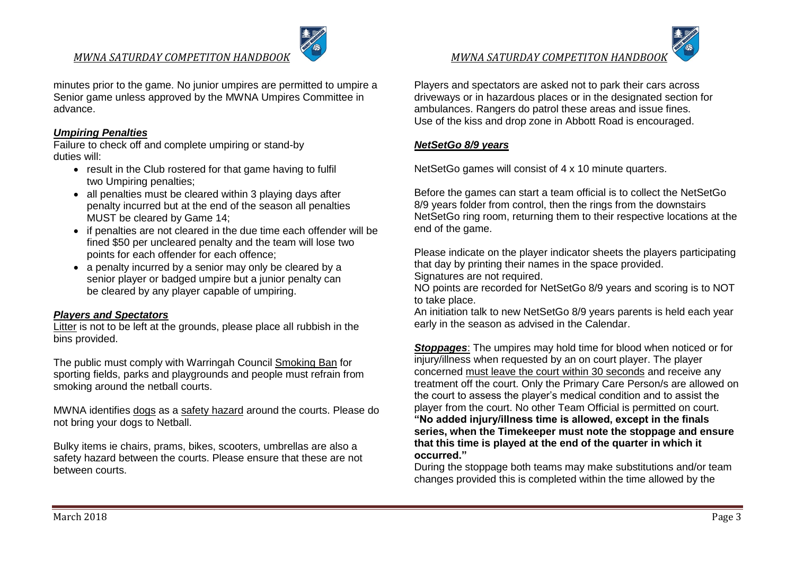## *MWNA SATURDAY COMPETITON HANDBOOK MWNA SATURDAY COMPETITON HANDBOOK*

minutes prior to the game. No junior umpires are permitted to umpire a Senior game unless approved by the MWNA Umpires Committee in advance.

#### *Umpiring Penalties*

Failure to check off and complete umpiring or stand-by duties will:

- result in the Club rostered for that game having to fulfil two Umpiring penalties;
- all penalties must be cleared within 3 playing days after penalty incurred but at the end of the season all penalties MUST be cleared by Game 14;
- if penalties are not cleared in the due time each offender will be fined \$50 per uncleared penalty and the team will lose two points for each offender for each offence;
- a penalty incurred by a senior may only be cleared by a senior player or badged umpire but a junior penalty can be cleared by any player capable of umpiring.

#### *Players and Spectators*

Litter is not to be left at the grounds, please place all rubbish in the bins provided.

The public must comply with Warringah Council Smoking Ban for sporting fields, parks and playgrounds and people must refrain from smoking around the netball courts.

MWNA identifies dogs as a safety hazard around the courts. Please do not bring your dogs to Netball.

Bulky items ie chairs, prams, bikes, scooters, umbrellas are also a safety hazard between the courts. Please ensure that these are not between courts.

Players and spectators are asked not to park their cars across driveways or in hazardous places or in the designated section for ambulances. Rangers do patrol these areas and issue fines. Use of the kiss and drop zone in Abbott Road is encouraged.

#### *NetSetGo 8/9 years*

NetSetGo games will consist of 4 x 10 minute quarters.

Before the games can start a team official is to collect the NetSetGo 8/9 years folder from control, then the rings from the downstairs NetSetGo ring room, returning them to their respective locations at the end of the game.

Please indicate on the player indicator sheets the players participating that day by printing their names in the space provided. Signatures are not required.

NO points are recorded for NetSetGo 8/9 years and scoring is to NOT to take place.

An initiation talk to new NetSetGo 8/9 years parents is held each year early in the season as advised in the Calendar.

*Stoppages*: The umpires may hold time for blood when noticed or for injury/illness when requested by an on court player. The player concerned must leave the court within 30 seconds and receive any treatment off the court. Only the Primary Care Person/s are allowed on the court to assess the player's medical condition and to assist the player from the court. No other Team Official is permitted on court. **"No added injury/illness time is allowed, except in the finals series, when the Timekeeper must note the stoppage and ensure that this time is played at the end of the quarter in which it occurred."**

During the stoppage both teams may make substitutions and/or team changes provided this is completed within the time allowed by the